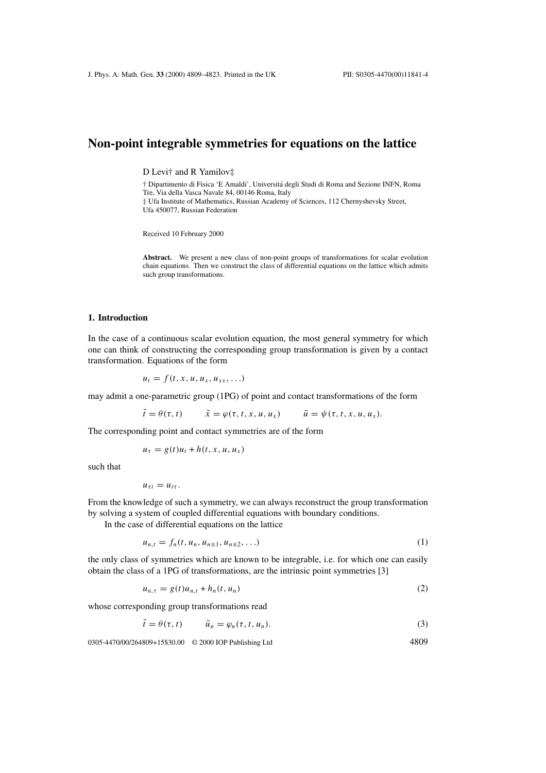# **Non-point integrable symmetries for equations on the lattice**

D Levi† and R Yamilov‡

† Dipartimento di Fisica 'E Amaldi', Universita degli Studi di Roma and Sezione INFN, Roma ´ Tre, Via della Vasca Navale 84, 00146 Roma, Italy ‡ Ufa Institute of Mathematics, Russian Academy of Sciences, 112 Chernyshevsky Street, Ufa 450077, Russian Federation

Received 10 February 2000

**Abstract.** We present a new class of non-point groups of transformations for scalar evolution chain equations. Then we construct the class of differential equations on the lattice which admits such group transformations.

### **1. Introduction**

In the case of a continuous scalar evolution equation, the most general symmetry for which one can think of constructing the corresponding group transformation is given by a contact transformation. Equations of the form

 $u_t = f(t, x, u, u_x, u_{xx}, ...)$ 

may admit a one-parametric group (1PG) of point and contact transformations of the form

 $\tilde{t} = \theta(\tau, t)$   $\tilde{x} = \varphi(\tau, t, x, u, u_x)$   $\tilde{u} = \psi(\tau, t, x, u, u_x).$ 

The corresponding point and contact symmetries are of the form

$$
u_{\tau}=g(t)u_t+h(t,x,u,u_x)
$$

such that

$$
u_{\tau t}=u_{t\tau}.
$$

From the knowledge of such a symmetry, we can always reconstruct the group transformation by solving a system of coupled differential equations with boundary conditions.

In the case of differential equations on the lattice

$$
u_{n,t} = f_n(t, u_n, u_{n+1}, u_{n+2}, \ldots) \tag{1}
$$

the only class of symmetries which are known to be integrable, i.e. for which one can easily obtain the class of a 1PG of transformations, are the intrinsic point symmetries [3]

$$
u_{n,\tau} = g(t)u_{n,t} + h_n(t, u_n) \tag{2}
$$

whose corresponding group transformations read

$$
\tilde{t} = \theta(\tau, t) \qquad \tilde{u}_n = \varphi_n(\tau, t, u_n). \tag{3}
$$

0305-4470/00/264809+15\$30.00 © 2000 IOP Publishing Ltd 4809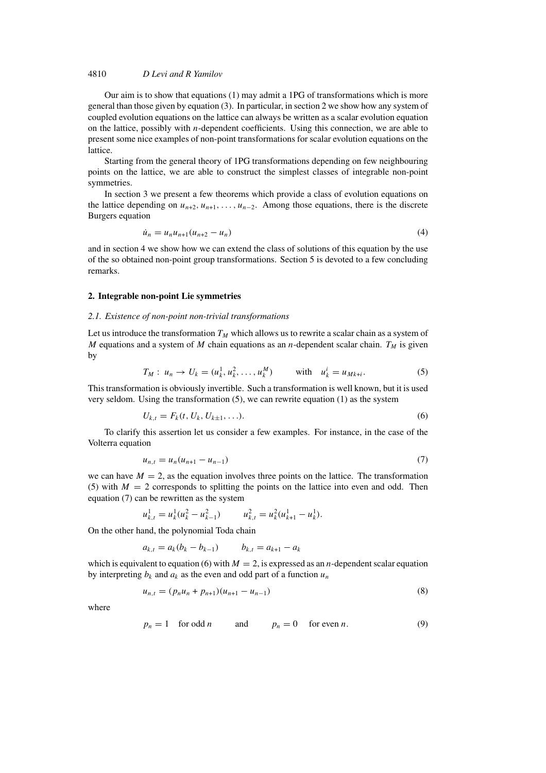Our aim is to show that equations (1) may admit a 1PG of transformations which is more general than those given by equation (3). In particular, in section 2 we show how any system of coupled evolution equations on the lattice can always be written as a scalar evolution equation on the lattice, possibly with  $n$ -dependent coefficients. Using this connection, we are able to present some nice examples of non-point transformations for scalar evolution equations on the lattice.

Starting from the general theory of 1PG transformations depending on few neighbouring points on the lattice, we are able to construct the simplest classes of integrable non-point symmetries.

In section 3 we present a few theorems which provide a class of evolution equations on the lattice depending on  $u_{n+2}, u_{n+1}, \ldots, u_{n-2}$ . Among those equations, there is the discrete Burgers equation

$$
\dot{u}_n = u_n u_{n+1} (u_{n+2} - u_n) \tag{4}
$$

and in section 4 we show how we can extend the class of solutions of this equation by the use of the so obtained non-point group transformations. Section 5 is devoted to a few concluding remarks.

### **2. Integrable non-point Lie symmetries**

#### *2.1. Existence of non-point non-trivial transformations*

Let us introduce the transformation  $T_M$  which allows us to rewrite a scalar chain as a system of M equations and a system of M chain equations as an n-dependent scalar chain.  $T_M$  is given by

$$
T_M: u_n \to U_k = (u_k^1, u_k^2, \dots, u_k^M) \qquad \text{with} \quad u_k^i = u_{Mk+i}.
$$
 (5)

This transformation is obviously invertible. Such a transformation is well known, but it is used very seldom. Using the transformation (5), we can rewrite equation (1) as the system

$$
U_{k,t} = F_k(t, U_k, U_{k+1}, \ldots). \tag{6}
$$

To clarify this assertion let us consider a few examples. For instance, in the case of the Volterra equation

$$
u_{n,t} = u_n (u_{n+1} - u_{n-1})
$$
\n(7)

we can have  $M = 2$ , as the equation involves three points on the lattice. The transformation (5) with  $M = 2$  corresponds to splitting the points on the lattice into even and odd. Then equation (7) can be rewritten as the system

$$
u_{k,t}^1 = u_k^1(u_k^2 - u_{k-1}^2) \qquad u_{k,t}^2 = u_k^2(u_{k+1}^1 - u_k^1).
$$

On the other hand, the polynomial Toda chain

$$
a_{k,t} = a_k(b_k - b_{k-1}) \qquad b_{k,t} = a_{k+1} - a_k
$$

which is equivalent to equation (6) with  $M = 2$ , is expressed as an *n*-dependent scalar equation by interpreting  $b_k$  and  $a_k$  as the even and odd part of a function  $u_n$ 

$$
u_{n,t} = (p_n u_n + p_{n+1})(u_{n+1} - u_{n-1})
$$
\n(8)

where

$$
p_n = 1 \quad \text{for odd } n \qquad \text{and} \qquad p_n = 0 \quad \text{for even } n. \tag{9}
$$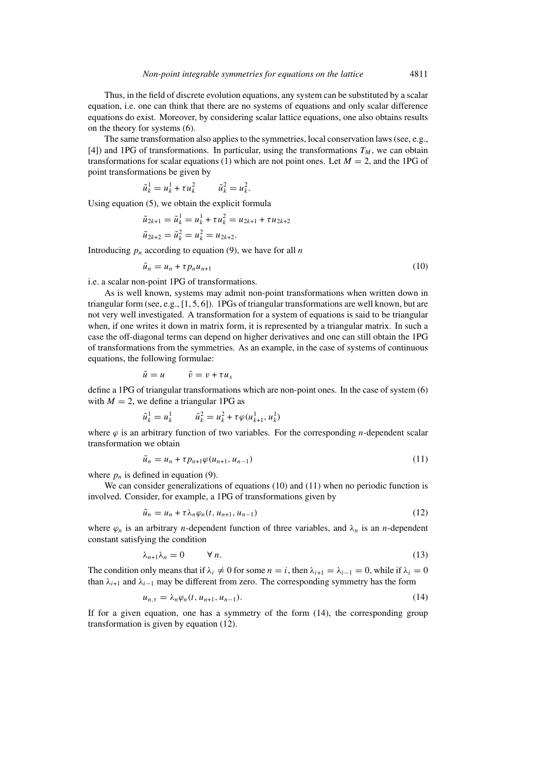Thus, in the field of discrete evolution equations, any system can be substituted by a scalar equation, i.e. one can think that there are no systems of equations and only scalar difference equations do exist. Moreover, by considering scalar lattice equations, one also obtains results on the theory for systems (6).

The same transformation also applies to the symmetries, local conservation laws (see, e.g., [4]) and 1PG of transformations. In particular, using the transformations  $T_M$ , we can obtain transformations for scalar equations (1) which are not point ones. Let  $M = 2$ , and the 1PG of point transformations be given by

$$
\tilde{u}_k^1 = u_k^1 + \tau u_k^2 \qquad \tilde{u}_k^2 = u_k^2.
$$

Using equation (5), we obtain the explicit formula

$$
\tilde{u}_{2k+1} = \tilde{u}_k^1 = u_k^1 + \tau u_k^2 = u_{2k+1} + \tau u_{2k+2}
$$
  

$$
\tilde{u}_{2k+2} = \tilde{u}_k^2 = u_k^2 = u_{2k+2}.
$$

Introducing  $p_n$  according to equation (9), we have for all n

$$
\tilde{u}_n = u_n + \tau p_n u_{n+1} \tag{10}
$$

i.e. a scalar non-point 1PG of transformations.

As is well known, systems may admit non-point transformations when written down in triangular form (see, e.g., [1, 5, 6]). 1PGs of triangular transformations are well known, but are not very well investigated. A transformation for a system of equations is said to be triangular when, if one writes it down in matrix form, it is represented by a triangular matrix. In such a case the off-diagonal terms can depend on higher derivatives and one can still obtain the 1PG of transformations from the symmetries. As an example, in the case of systems of continuous equations, the following formulae:

$$
\tilde{u} = u \qquad \tilde{v} = v + \tau u_x
$$

define a 1PG of triangular transformations which are non-point ones. In the case of system (6) with  $M = 2$ , we define a triangular 1PG as

$$
\tilde{u}_k^1 = u_k^1 \qquad \tilde{u}_k^2 = u_k^2 + \tau \varphi(u_{k+1}^1, u_k^1)
$$

where  $\varphi$  is an arbitrary function of two variables. For the corresponding *n*-dependent scalar transformation we obtain

$$
\tilde{u}_n = u_n + \tau p_{n+1} \varphi(u_{n+1}, u_{n-1})
$$
\n(11)

where  $p_n$  is defined in equation (9).

We can consider generalizations of equations (10) and (11) when no periodic function is involved. Consider, for example, a 1PG of transformations given by

$$
\tilde{u}_n = u_n + \tau \lambda_n \varphi_n(t, u_{n+1}, u_{n-1})
$$
\n(12)

where  $\varphi_n$  is an arbitrary *n*-dependent function of three variables, and  $\lambda_n$  is an *n*-dependent constant satisfying the condition

$$
\lambda_{n+1}\lambda_n=0 \qquad \forall n. \tag{13}
$$

The condition only means that if  $\lambda_i \neq 0$  for some  $n = i$ , then  $\lambda_{i+1} = \lambda_{i-1} = 0$ , while if  $\lambda_i = 0$ than  $\lambda_{i+1}$  and  $\lambda_{i-1}$  may be different from zero. The corresponding symmetry has the form

$$
u_{n,\tau} = \lambda_n \varphi_n(t, u_{n+1}, u_{n-1}). \tag{14}
$$

If for a given equation, one has a symmetry of the form (14), the corresponding group transformation is given by equation (12).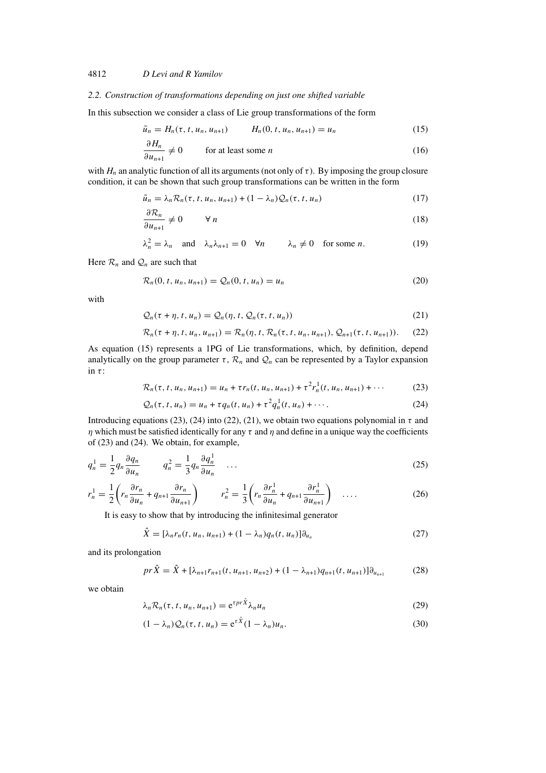### *2.2. Construction of transformations depending on just one shifted variable*

In this subsection we consider a class of Lie group transformations of the form

$$
\tilde{u}_n = H_n(\tau, t, u_n, u_{n+1}) \qquad H_n(0, t, u_n, u_{n+1}) = u_n \tag{15}
$$

$$
\frac{\partial H_n}{\partial u_{n+1}} \neq 0 \qquad \text{for at least some } n \tag{16}
$$

with  $H_n$  an analytic function of all its arguments (not only of  $\tau$ ). By imposing the group closure condition, it can be shown that such group transformations can be written in the form

$$
\tilde{u}_n = \lambda_n \mathcal{R}_n(\tau, t, u_n, u_{n+1}) + (1 - \lambda_n) \mathcal{Q}_n(\tau, t, u_n)
$$
\n(17)

$$
\frac{\partial \mathcal{R}_n}{\partial u_{n+1}} \neq 0 \qquad \forall n \tag{18}
$$

$$
\lambda_n^2 = \lambda_n \quad \text{and} \quad \lambda_n \lambda_{n+1} = 0 \quad \forall n \qquad \lambda_n \neq 0 \quad \text{for some } n. \tag{19}
$$

Here  $\mathcal{R}_n$  and  $\mathcal{Q}_n$  are such that

$$
\mathcal{R}_n(0, t, u_n, u_{n+1}) = \mathcal{Q}_n(0, t, u_n) = u_n \tag{20}
$$

with

$$
\mathcal{Q}_n(\tau + \eta, t, u_n) = \mathcal{Q}_n(\eta, t, \mathcal{Q}_n(\tau, t, u_n))
$$
\n(21)

$$
\mathcal{R}_n(\tau + \eta, t, u_n, u_{n+1}) = \mathcal{R}_n(\eta, t, \mathcal{R}_n(\tau, t, u_n, u_{n+1}), \mathcal{Q}_{n+1}(\tau, t, u_{n+1})).
$$
 (22)

As equation (15) represents a 1PG of Lie transformations, which, by definition, depend analytically on the group parameter  $\tau$ ,  $\mathcal{R}_n$  and  $\mathcal{Q}_n$  can be represented by a Taylor expansion in  $\tau$ :

$$
\mathcal{R}_n(\tau, t, u_n, u_{n+1}) = u_n + \tau r_n(t, u_n, u_{n+1}) + \tau^2 r_n^1(t, u_n, u_{n+1}) + \cdots
$$
 (23)

$$
\mathcal{Q}_n(\tau, t, u_n) = u_n + \tau q_n(t, u_n) + \tau^2 q_n^1(t, u_n) + \cdots. \tag{24}
$$

Introducing equations (23), (24) into (22), (21), we obtain two equations polynomial in  $\tau$  and  $η$  which must be satisfied identically for any τ and  $η$  and define in a unique way the coefficients of (23) and (24). We obtain, for example,

$$
q_n^1 = \frac{1}{2} q_n \frac{\partial q_n}{\partial u_n} \qquad q_n^2 = \frac{1}{3} q_n \frac{\partial q_n^1}{\partial u_n} \quad \dots \tag{25}
$$

$$
r_n^1 = \frac{1}{2} \left( r_n \frac{\partial r_n}{\partial u_n} + q_{n+1} \frac{\partial r_n}{\partial u_{n+1}} \right) \qquad r_n^2 = \frac{1}{3} \left( r_n \frac{\partial r_n^1}{\partial u_n} + q_{n+1} \frac{\partial r_n^1}{\partial u_{n+1}} \right) \quad \dots \tag{26}
$$

It is easy to show that by introducing the infinitesimal generator

$$
\hat{X} = [\lambda_n r_n(t, u_n, u_{n+1}) + (1 - \lambda_n) q_n(t, u_n)] \partial_{u_n}
$$
\n(27)

and its prolongation

$$
pr\hat{X} = \hat{X} + [\lambda_{n+1}r_{n+1}(t, u_{n+1}, u_{n+2}) + (1 - \lambda_{n+1})q_{n+1}(t, u_{n+1})]\partial_{u_{n+1}}
$$
(28)

we obtain

$$
\lambda_n \mathcal{R}_n(\tau, t, u_n, u_{n+1}) = e^{\tau p r \hat{X}} \lambda_n u_n \tag{29}
$$

$$
(1 - \lambda_n) \mathcal{Q}_n(\tau, t, u_n) = e^{\tau \hat{X}} (1 - \lambda_n) u_n.
$$
\n(30)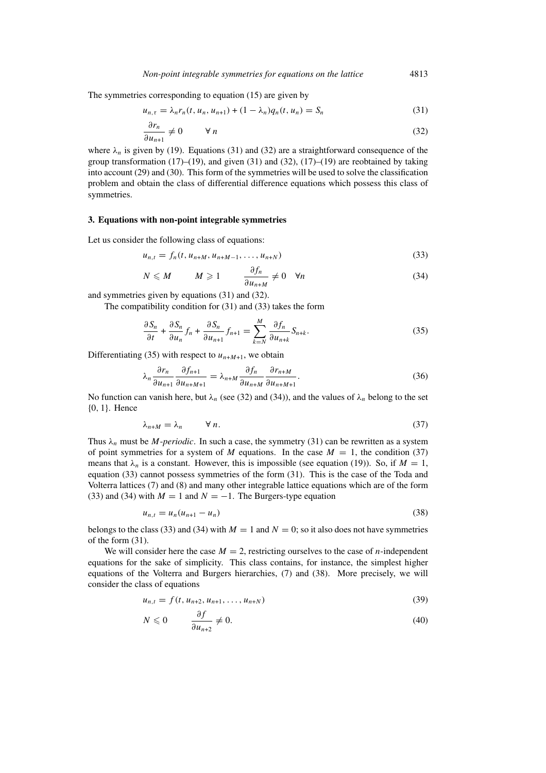The symmetries corresponding to equation (15) are given by

$$
u_{n,\tau} = \lambda_n r_n(t, u_n, u_{n+1}) + (1 - \lambda_n) q_n(t, u_n) = S_n
$$
\n(31)

$$
\frac{\partial r_n}{\partial u_{n+1}} \neq 0 \qquad \forall n \tag{32}
$$

where  $\lambda_n$  is given by (19). Equations (31) and (32) are a straightforward consequence of the group transformation  $(17)$ – $(19)$ , and given  $(31)$  and  $(32)$ ,  $(17)$ – $(19)$  are reobtained by taking into account (29) and (30). This form of the symmetries will be used to solve the classification problem and obtain the class of differential difference equations which possess this class of symmetries.

#### **3. Equations with non-point integrable symmetries**

Let us consider the following class of equations:

$$
u_{n,t} = f_n(t, u_{n+M}, u_{n+M-1}, \dots, u_{n+N})
$$
\n(33)

$$
N \leqslant M \qquad M \geqslant 1 \qquad \frac{\partial f_n}{\partial u_{n+M}} \neq 0 \quad \forall n \tag{34}
$$

and symmetries given by equations (31) and (32).

The compatibility condition for (31) and (33) takes the form

$$
\frac{\partial S_n}{\partial t} + \frac{\partial S_n}{\partial u_n} f_n + \frac{\partial S_n}{\partial u_{n+1}} f_{n+1} = \sum_{k=N}^M \frac{\partial f_n}{\partial u_{n+k}} S_{n+k}.
$$
 (35)

Differentiating (35) with respect to  $u_{n+M+1}$ , we obtain

$$
\lambda_n \frac{\partial r_n}{\partial u_{n+1}} \frac{\partial f_{n+1}}{\partial u_{n+M+1}} = \lambda_{n+M} \frac{\partial f_n}{\partial u_{n+M}} \frac{\partial r_{n+M}}{\partial u_{n+M+1}}.
$$
(36)

No function can vanish here, but  $\lambda_n$  (see (32) and (34)), and the values of  $\lambda_n$  belong to the set {0, 1}. Hence

$$
\lambda_{n+M} = \lambda_n \qquad \forall n. \tag{37}
$$

Thus  $\lambda_n$  must be *M-periodic*. In such a case, the symmetry (31) can be rewritten as a system of point symmetries for a system of M equations. In the case  $M = 1$ , the condition (37) means that  $\lambda_n$  is a constant. However, this is impossible (see equation (19)). So, if  $M = 1$ , equation (33) cannot possess symmetries of the form (31). This is the case of the Toda and Volterra lattices (7) and (8) and many other integrable lattice equations which are of the form (33) and (34) with  $M = 1$  and  $N = -1$ . The Burgers-type equation

$$
u_{n,t} = u_n (u_{n+1} - u_n) \tag{38}
$$

belongs to the class (33) and (34) with  $M = 1$  and  $N = 0$ ; so it also does not have symmetries of the form (31).

We will consider here the case  $M = 2$ , restricting ourselves to the case of *n*-independent equations for the sake of simplicity. This class contains, for instance, the simplest higher equations of the Volterra and Burgers hierarchies, (7) and (38). More precisely, we will consider the class of equations

$$
u_{n,t} = f(t, u_{n+2}, u_{n+1}, \dots, u_{n+N})
$$
\n(39)

$$
N \leq 0 \qquad \frac{\partial f}{\partial u_{n+2}} \neq 0. \tag{40}
$$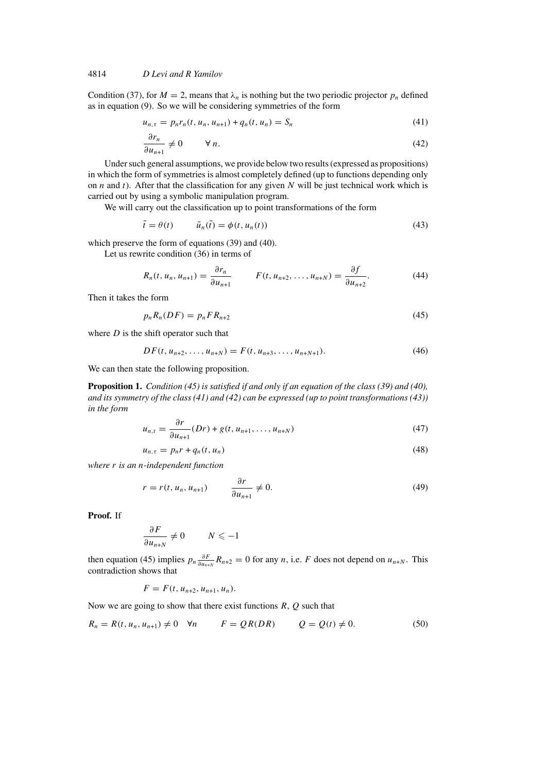Condition (37), for  $M = 2$ , means that  $\lambda_n$  is nothing but the two periodic projector  $p_n$  defined as in equation (9). So we will be considering symmetries of the form

$$
u_{n,\tau} = p_n r_n(t, u_n, u_{n+1}) + q_n(t, u_n) = S_n \tag{41}
$$

$$
\frac{\partial r_n}{\partial u_{n+1}} \neq 0 \qquad \forall n. \tag{42}
$$

Under such general assumptions, we provide below two results (expressed as propositions) in which the form of symmetries is almost completely defined (up to functions depending only on  $n$  and  $t$ ). After that the classification for any given  $N$  will be just technical work which is carried out by using a symbolic manipulation program.

We will carry out the classification up to point transformations of the form

$$
\tilde{t} = \theta(t) \qquad \tilde{u}_n(\tilde{t}) = \phi(t, u_n(t)) \tag{43}
$$

which preserve the form of equations (39) and (40).

Let us rewrite condition (36) in terms of

$$
R_n(t, u_n, u_{n+1}) = \frac{\partial r_n}{\partial u_{n+1}} \qquad F(t, u_{n+2}, \dots, u_{n+N}) = \frac{\partial f}{\partial u_{n+2}}.
$$
 (44)

Then it takes the form

$$
p_n R_n (DF) = p_n F R_{n+2} \tag{45}
$$

where  $D$  is the shift operator such that

$$
DF(t, u_{n+2}, \dots, u_{n+N}) = F(t, u_{n+3}, \dots, u_{n+N+1}).
$$
\n(46)

We can then state the following proposition.

**Proposition 1.** *Condition (45) is satisfied if and only if an equation of the class (39) and (40), and its symmetry of the class (41) and (42) can be expressed (up to point transformations (43)) in the form*

$$
u_{n,t} = \frac{\partial r}{\partial u_{n+1}}(Dr) + g(t, u_{n+1}, \dots, u_{n+N})
$$
\n
$$
(47)
$$

$$
u_{n,\tau} = p_n r + q_n(t, u_n) \tag{48}
$$

*where* r *is an* n*-independent function*

$$
r = r(t, u_n, u_{n+1}) \qquad \frac{\partial r}{\partial u_{n+1}} \neq 0. \tag{49}
$$

**Proof.** If

$$
\frac{\partial F}{\partial u_{n+N}} \neq 0 \qquad N \leq -1
$$

then equation (45) implies  $p_n \frac{\partial F}{\partial u_{n+1}} R_{n+2} = 0$  for any n, i.e. F does not depend on  $u_{n+N}$ . This contradiction shows that

$$
F = F(t, u_{n+2}, u_{n+1}, u_n).
$$

Now we are going to show that there exist functions  $R$ ,  $Q$  such that

$$
R_n = R(t, u_n, u_{n+1}) \neq 0 \quad \forall n \qquad F = QR(DR) \qquad Q = Q(t) \neq 0.
$$
 (50)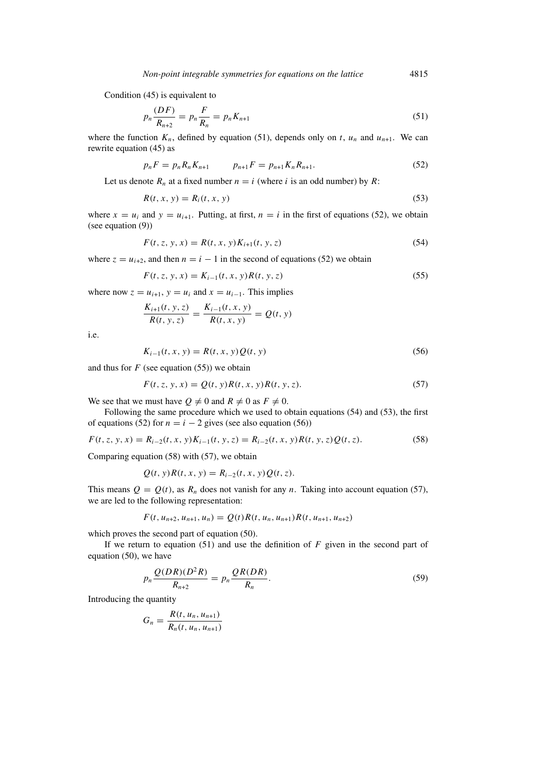Condition (45) is equivalent to

$$
p_n \frac{(DF)}{R_{n+2}} = p_n \frac{F}{R_n} = p_n K_{n+1}
$$
\n(51)

where the function  $K_n$ , defined by equation (51), depends only on t,  $u_n$  and  $u_{n+1}$ . We can rewrite equation (45) as

$$
p_n F = p_n R_n K_{n+1} \qquad p_{n+1} F = p_{n+1} K_n R_{n+1}.
$$
 (52)

Let us denote  $R_n$  at a fixed number  $n = i$  (where i is an odd number) by R:

$$
R(t, x, y) = Ri(t, x, y)
$$
\n
$$
(53)
$$

where  $x = u_i$  and  $y = u_{i+1}$ . Putting, at first,  $n = i$  in the first of equations (52), we obtain (see equation (9))

$$
F(t, z, y, x) = R(t, x, y)K_{i+1}(t, y, z)
$$
\n(54)

where  $z = u_{i+2}$ , and then  $n = i - 1$  in the second of equations (52) we obtain

$$
F(t, z, y, x) = K_{i-1}(t, x, y)R(t, y, z)
$$
\n(55)

where now  $z = u_{i+1}$ ,  $y = u_i$  and  $x = u_{i-1}$ . This implies

$$
\frac{K_{i+1}(t, y, z)}{R(t, y, z)} = \frac{K_{i-1}(t, x, y)}{R(t, x, y)} = Q(t, y)
$$

i.e.

$$
K_{i-1}(t, x, y) = R(t, x, y)Q(t, y)
$$
\n(56)

and thus for  $F$  (see equation (55)) we obtain

$$
F(t, z, y, x) = Q(t, y)R(t, x, y)R(t, y, z).
$$
\n(57)

We see that we must have  $Q \neq 0$  and  $R \neq 0$  as  $F \neq 0$ .

Following the same procedure which we used to obtain equations (54) and (53), the first of equations (52) for  $n = i - 2$  gives (see also equation (56))

$$
F(t, z, y, x) = R_{i-2}(t, x, y)K_{i-1}(t, y, z) = R_{i-2}(t, x, y)R(t, y, z)Q(t, z).
$$
\n(58)

Comparing equation (58) with (57), we obtain

$$
Q(t, y)R(t, x, y) = R_{i-2}(t, x, y)Q(t, z).
$$

This means  $Q = Q(t)$ , as  $R_n$  does not vanish for any n. Taking into account equation (57), we are led to the following representation:

$$
F(t, u_{n+2}, u_{n+1}, u_n) = Q(t)R(t, u_n, u_{n+1})R(t, u_{n+1}, u_{n+2})
$$

which proves the second part of equation (50).

If we return to equation (51) and use the definition of  $F$  given in the second part of equation (50), we have

$$
p_n \frac{Q(DR)(D^2R)}{R_{n+2}} = p_n \frac{QR(DR)}{R_n}.
$$
\n<sup>(59)</sup>

Introducing the quantity

$$
G_n = \frac{R(t, u_n, u_{n+1})}{R_n(t, u_n, u_{n+1})}
$$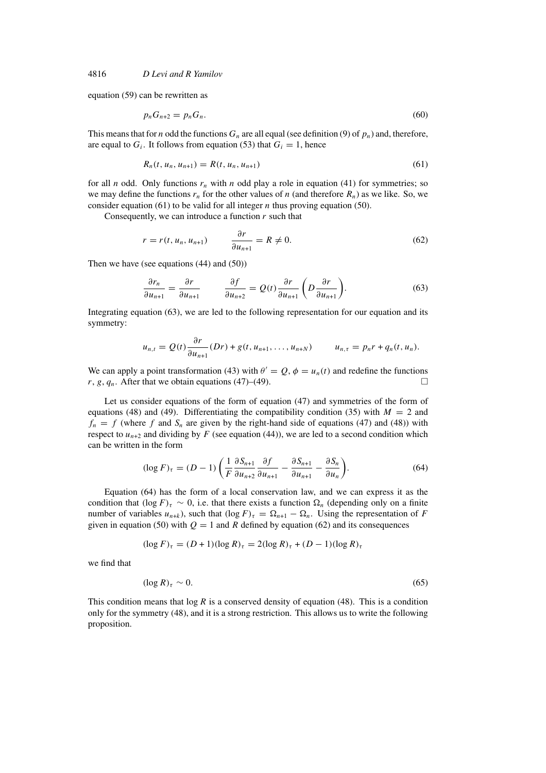equation (59) can be rewritten as

$$
p_n G_{n+2} = p_n G_n. \tag{60}
$$

This means that for *n* odd the functions  $G_n$  are all equal (see definition (9) of  $p_n$ ) and, therefore, are equal to  $G_i$ . It follows from equation (53) that  $G_i = 1$ , hence

$$
R_n(t, u_n, u_{n+1}) = R(t, u_n, u_{n+1})
$$
\n(61)

for all *n* odd. Only functions  $r_n$  with *n* odd play a role in equation (41) for symmetries; so we may define the functions  $r_n$  for the other values of n (and therefore  $R_n$ ) as we like. So, we consider equation (61) to be valid for all integer *n* thus proving equation (50).

Consequently, we can introduce a function  $r$  such that

$$
r = r(t, u_n, u_{n+1}) \qquad \frac{\partial r}{\partial u_{n+1}} = R \neq 0. \tag{62}
$$

Then we have (see equations (44) and (50))

$$
\frac{\partial r_n}{\partial u_{n+1}} = \frac{\partial r}{\partial u_{n+1}} \qquad \frac{\partial f}{\partial u_{n+2}} = Q(t) \frac{\partial r}{\partial u_{n+1}} \left( D \frac{\partial r}{\partial u_{n+1}} \right). \tag{63}
$$

Integrating equation (63), we are led to the following representation for our equation and its symmetry:

$$
u_{n,t} = Q(t) \frac{\partial r}{\partial u_{n+1}}(Dr) + g(t, u_{n+1}, \dots, u_{n+N}) \qquad u_{n,\tau} = p_n r + q_n(t, u_n).
$$

We can apply a point transformation (43) with  $\theta' = Q$ ,  $\phi = u_n(t)$  and redefine the functions r, g,  $q_n$ . After that we obtain equations (47)–(49).

Let us consider equations of the form of equation (47) and symmetries of the form of equations (48) and (49). Differentiating the compatibility condition (35) with  $M = 2$  and  $f_n = f$  (where f and  $S_n$  are given by the right-hand side of equations (47) and (48)) with respect to  $u_{n+2}$  and dividing by F (see equation (44)), we are led to a second condition which can be written in the form

$$
(\log F)_\tau = (D-1) \left( \frac{1}{F} \frac{\partial S_{n+1}}{\partial u_{n+2}} \frac{\partial f}{\partial u_{n+1}} - \frac{\partial S_{n+1}}{\partial u_{n+1}} - \frac{\partial S_n}{\partial u_n} \right). \tag{64}
$$

Equation (64) has the form of a local conservation law, and we can express it as the condition that  $(\log F)_\tau \sim 0$ , i.e. that there exists a function  $\Omega_n$  (depending only on a finite number of variables  $u_{n+k}$ ), such that  $(\log F)_\tau = \Omega_{n+1} - \Omega_n$ . Using the representation of F given in equation (50) with  $Q = 1$  and R defined by equation (62) and its consequences

$$
(\log F)_{\tau} = (D+1)(\log R)_{\tau} = 2(\log R)_{\tau} + (D-1)(\log R)_{\tau}
$$

we find that

$$
(\log R)_{\tau} \sim 0. \tag{65}
$$

This condition means that  $\log R$  is a conserved density of equation (48). This is a condition only for the symmetry (48), and it is a strong restriction. This allows us to write the following proposition.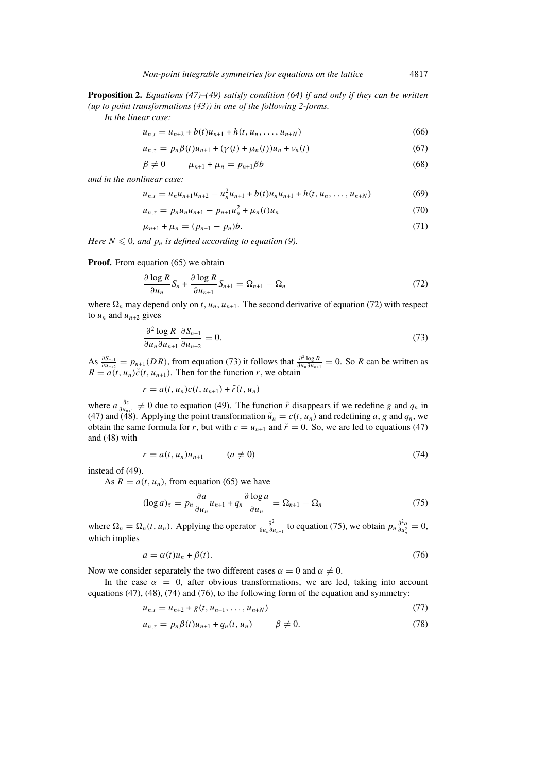**Proposition 2.** *Equations (47)–(49) satisfy condition (64) if and only if they can be written (up to point transformations (43)) in one of the following 2-forms.*

*In the linear case:*

$$
u_{n,t} = u_{n+2} + b(t)u_{n+1} + h(t, u_n, \dots, u_{n+N})
$$
\n(66)

$$
u_{n,\tau} = p_n \beta(t) u_{n+1} + (\gamma(t) + \mu_n(t)) u_n + v_n(t)
$$
\n(67)

$$
\beta \neq 0 \qquad \mu_{n+1} + \mu_n = p_{n+1} \beta b \tag{68}
$$

*and in the nonlinear case:*

$$
u_{n,t} = u_n u_{n+1} u_{n+2} - u_n^2 u_{n+1} + b(t) u_n u_{n+1} + h(t, u_n, \dots, u_{n+N})
$$
 (69)

$$
u_{n,\tau} = p_n u_n u_{n+1} - p_{n+1} u_n^2 + \mu_n(t) u_n \tag{70}
$$

$$
\mu_{n+1} + \mu_n = (p_{n+1} - p_n)b. \tag{71}
$$

*Here*  $N \leq 0$ *, and*  $p_n$  *is defined according to equation (9).* 

**Proof.** From equation (65) we obtain

$$
\frac{\partial \log R}{\partial u_n} S_n + \frac{\partial \log R}{\partial u_{n+1}} S_{n+1} = \Omega_{n+1} - \Omega_n \tag{72}
$$

where  $\Omega_n$  may depend only on t,  $u_n$ ,  $u_{n+1}$ . The second derivative of equation (72) with respect to  $u_n$  and  $u_{n+2}$  gives

$$
\frac{\partial^2 \log R}{\partial u_n \partial u_{n+1}} \frac{\partial S_{n+1}}{\partial u_{n+2}} = 0.
$$
\n(73)

As  $\frac{\partial S_{n+1}}{\partial u_{n+2}} = p_{n+1}(DR)$ , from equation (73) it follows that  $\frac{\partial^2 \log R}{\partial u_n \partial u_{n+1}} = 0$ . So R can be written as  $R = a(t, u_n)\tilde{c}(t, u_{n+1})$ . Then for the function r, we obtain

$$
r = a(t, u_n)c(t, u_{n+1}) + \tilde{r}(t, u_n)
$$

where  $a \frac{\partial c}{\partial u_{n+1}} \neq 0$  due to equation (49). The function  $\tilde{r}$  disappears if we redefine g and  $q_n$  in (47) and (48). Applying the point transformation  $\tilde{u}_n = c(t, u_n)$  and redefining a, g and  $q_n$ , we obtain the same formula for r, but with  $c = u_{n+1}$  and  $\tilde{r} = 0$ . So, we are led to equations (47) and (48) with

$$
r = a(t, u_n)u_{n+1} \qquad (a \neq 0)
$$
\n
$$
(74)
$$

instead of (49).

As  $R = a(t, u_n)$ , from equation (65) we have

$$
(\log a)_{\tau} = p_n \frac{\partial a}{\partial u_n} u_{n+1} + q_n \frac{\partial \log a}{\partial u_n} = \Omega_{n+1} - \Omega_n \tag{75}
$$

where  $\Omega_n = \Omega_n(t, u_n)$ . Applying the operator  $\frac{\partial^2}{\partial u_n \partial u_{n+1}}$  to equation (75), we obtain  $p_n \frac{\partial^2 a}{\partial u_n^2} = 0$ , which implies

$$
a = \alpha(t)u_n + \beta(t). \tag{76}
$$

Now we consider separately the two different cases  $\alpha = 0$  and  $\alpha \neq 0$ .

In the case  $\alpha = 0$ , after obvious transformations, we are led, taking into account equations (47), (48), (74) and (76), to the following form of the equation and symmetry:

$$
u_{n,t} = u_{n+2} + g(t, u_{n+1}, \dots, u_{n+N})
$$
\n(77)

$$
u_{n,\tau} = p_n \beta(t) u_{n+1} + q_n(t, u_n) \qquad \beta \neq 0. \tag{78}
$$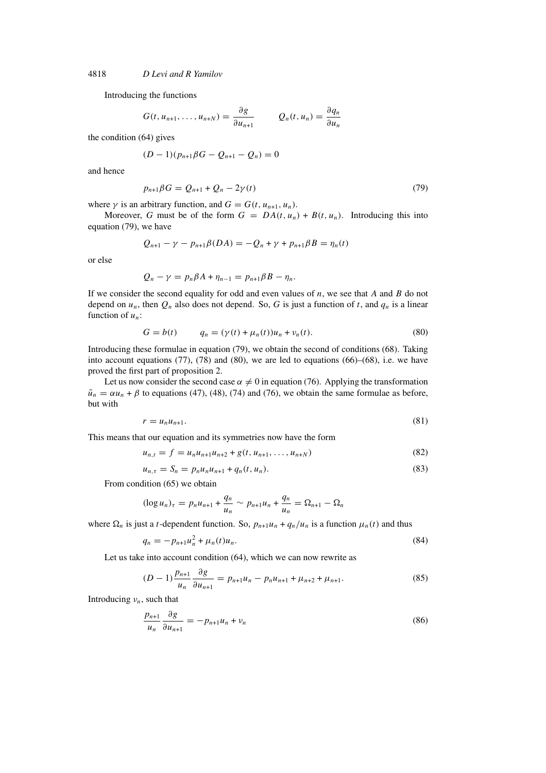Introducing the functions

$$
G(t, u_{n+1}, \dots, u_{n+N}) = \frac{\partial g}{\partial u_{n+1}} \qquad Q_n(t, u_n) = \frac{\partial q_n}{\partial u_n}
$$

the condition (64) gives

$$
(D-1)(p_{n+1}\beta G - Q_{n+1} - Q_n) = 0
$$

and hence

$$
p_{n+1}\beta G = Q_{n+1} + Q_n - 2\gamma(t) \tag{79}
$$

where  $\gamma$  is an arbitrary function, and  $G = G(t, u_{n+1}, u_n)$ .

Moreover, G must be of the form  $G = DA(t, u_n) + B(t, u_n)$ . Introducing this into equation (79), we have

$$
Q_{n+1} - \gamma - p_{n+1}\beta(DA) = -Q_n + \gamma + p_{n+1}\beta B = \eta_n(t)
$$

or else

$$
Q_n - \gamma = p_n \beta A + \eta_{n-1} = p_{n+1} \beta B - \eta_n.
$$

If we consider the second equality for odd and even values of  $n$ , we see that  $A$  and  $B$  do not depend on  $u_n$ , then  $Q_n$  also does not depend. So, G is just a function of t, and  $q_n$  is a linear function of  $u_n$ :

$$
G = b(t) \t q_n = (\gamma(t) + \mu_n(t))u_n + \nu_n(t). \t(80)
$$

Introducing these formulae in equation (79), we obtain the second of conditions (68). Taking into account equations (77), (78) and (80), we are led to equations (66)–(68), i.e. we have proved the first part of proposition 2.

Let us now consider the second case  $\alpha \neq 0$  in equation (76). Applying the transformation  $\tilde{u}_n = \alpha u_n + \beta$  to equations (47), (48), (74) and (76), we obtain the same formulae as before, but with

$$
r = u_n u_{n+1}.\tag{81}
$$

This means that our equation and its symmetries now have the form

$$
u_{n,t} = f = u_n u_{n+1} u_{n+2} + g(t, u_{n+1}, \dots, u_{n+N})
$$
\n(82)

$$
u_{n,\tau} = S_n = p_n u_n u_{n+1} + q_n(t, u_n).
$$
\n(83)

From condition (65) we obtain

$$
(\log u_n)_\tau = p_n u_{n+1} + \frac{q_n}{u_n} \sim p_{n+1} u_n + \frac{q_n}{u_n} = \Omega_{n+1} - \Omega_n
$$

where  $\Omega_n$  is just a t-dependent function. So,  $p_{n+1}u_n + q_n/u_n$  is a function  $\mu_n(t)$  and thus

$$
q_n = -p_{n+1}u_n^2 + \mu_n(t)u_n.
$$
\n(84)

Let us take into account condition (64), which we can now rewrite as

$$
(D-1)\frac{p_{n+1}}{u_n}\frac{\partial g}{\partial u_{n+1}} = p_{n+1}u_n - p_n u_{n+1} + \mu_{n+2} + \mu_{n+1}.
$$
 (85)

Introducing  $v_n$ , such that

$$
\frac{p_{n+1}}{u_n} \frac{\partial g}{\partial u_{n+1}} = -p_{n+1} u_n + v_n \tag{86}
$$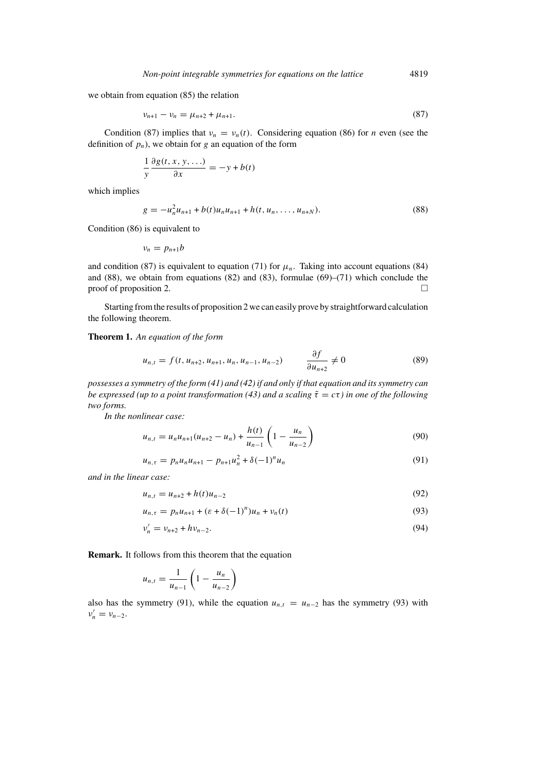we obtain from equation (85) the relation

$$
\nu_{n+1} - \nu_n = \mu_{n+2} + \mu_{n+1}.\tag{87}
$$

Condition (87) implies that  $v_n = v_n(t)$ . Considering equation (86) for *n* even (see the definition of  $p_n$ ), we obtain for g an equation of the form

$$
\frac{1}{y}\frac{\partial g(t, x, y, \ldots)}{\partial x} = -y + b(t)
$$

which implies

$$
g = -u_n^2 u_{n+1} + b(t) u_n u_{n+1} + h(t, u_n, \dots, u_{n+N}).
$$
\n(88)

Condition (86) is equivalent to

 $\nu_n = p_{n+1}b$ 

and condition (87) is equivalent to equation (71) for  $\mu_n$ . Taking into account equations (84) and (88), we obtain from equations (82) and (83), formulae (69)–(71) which conclude the proof of proposition 2.  $\Box$ 

Starting from the results of proposition 2 we can easily prove by straightforward calculation the following theorem.

**Theorem 1.** *An equation of the form*

$$
u_{n,t} = f(t, u_{n+2}, u_{n+1}, u_n, u_{n-1}, u_{n-2}) \qquad \frac{\partial f}{\partial u_{n+2}} \neq 0 \tag{89}
$$

*possesses a symmetry of the form (41) and (42) if and only if that equation and its symmetry can be expressed (up to a point transformation (43) and a scaling*  $\tilde{\tau} = c\tau$ *) in one of the following two forms.*

*In the nonlinear case:*

$$
u_{n,t} = u_n u_{n+1} (u_{n+2} - u_n) + \frac{h(t)}{u_{n-1}} \left( 1 - \frac{u_n}{u_{n-2}} \right)
$$
 (90)

$$
u_{n,\tau} = p_n u_n u_{n+1} - p_{n+1} u_n^2 + \delta(-1)^n u_n \tag{91}
$$

*and in the linear case:*

$$
u_{n,t} = u_{n+2} + h(t)u_{n-2}
$$
\n(92)

$$
u_{n,\tau} = p_n u_{n+1} + (\varepsilon + \delta(-1)^n)u_n + v_n(t)
$$
\n(93)

$$
v'_n = v_{n+2} + hv_{n-2}.\tag{94}
$$

**Remark.** It follows from this theorem that the equation

$$
u_{n,t} = \frac{1}{u_{n-1}} \left( 1 - \frac{u_n}{u_{n-2}} \right)
$$

also has the symmetry (91), while the equation  $u_{n,t} = u_{n-2}$  has the symmetry (93) with  $v'_n = v_{n-2}.$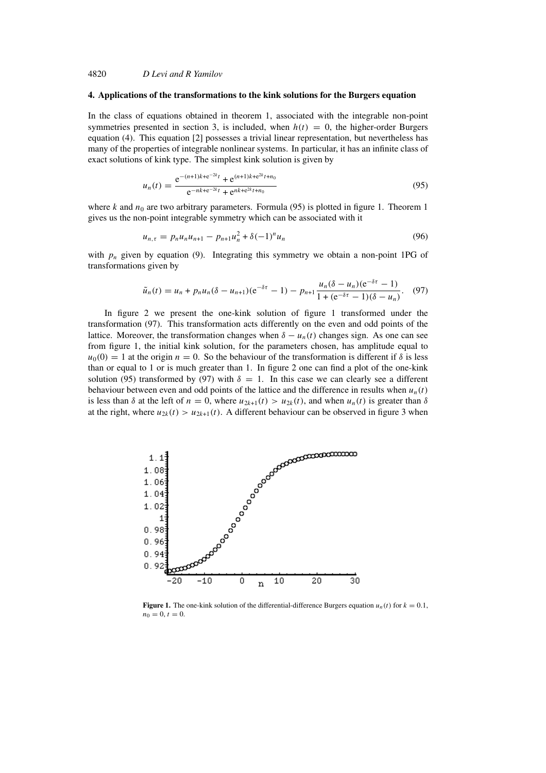### **4. Applications of the transformations to the kink solutions for the Burgers equation**

In the class of equations obtained in theorem 1, associated with the integrable non-point symmetries presented in section 3, is included, when  $h(t) = 0$ , the higher-order Burgers equation (4). This equation [2] possesses a trivial linear representation, but nevertheless has many of the properties of integrable nonlinear systems. In particular, it has an infinite class of exact solutions of kink type. The simplest kink solution is given by

$$
u_n(t) = \frac{e^{-(n+1)k + e^{-2k}t} + e^{(n+1)k + e^{2k}t + n_0}}{e^{-nk + e^{-2k}t} + e^{nk + e^{2k}t + n_0}}
$$
(95)

where k and  $n_0$  are two arbitrary parameters. Formula (95) is plotted in figure 1. Theorem 1 gives us the non-point integrable symmetry which can be associated with it

$$
u_{n,\tau} = p_n u_n u_{n+1} - p_{n+1} u_n^2 + \delta(-1)^n u_n \tag{96}
$$

with  $p_n$  given by equation (9). Integrating this symmetry we obtain a non-point 1PG of transformations given by

$$
\tilde{u}_n(t) = u_n + p_n u_n(\delta - u_{n+1})(e^{-\delta \tau} - 1) - p_{n+1} \frac{u_n(\delta - u_n)(e^{-\delta \tau} - 1)}{1 + (e^{-\delta \tau} - 1)(\delta - u_n)}.
$$
 (97)

In figure 2 we present the one-kink solution of figure 1 transformed under the transformation (97). This transformation acts differently on the even and odd points of the lattice. Moreover, the transformation changes when  $\delta - u_n(t)$  changes sign. As one can see from figure 1, the initial kink solution, for the parameters chosen, has amplitude equal to  $u_0(0) = 1$  at the origin  $n = 0$ . So the behaviour of the transformation is different if  $\delta$  is less than or equal to 1 or is much greater than 1. In figure 2 one can find a plot of the one-kink solution (95) transformed by (97) with  $\delta = 1$ . In this case we can clearly see a different behaviour between even and odd points of the lattice and the difference in results when  $u_n(t)$ is less than  $\delta$  at the left of  $n = 0$ , where  $u_{2k+1}(t) > u_{2k}(t)$ , and when  $u_n(t)$  is greater than  $\delta$ 



**Figure 1.** The one-kink solution of the differential-difference Burgers equation  $u_n(t)$  for  $k = 0.1$ ,  $n_0 = 0, t = 0.$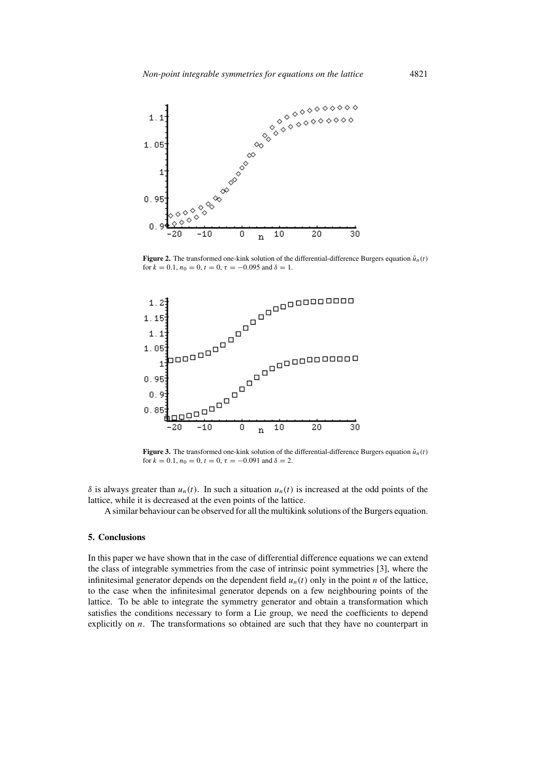

**Figure 2.** The transformed one-kink solution of the differential-difference Burgers equation  $\tilde{u}_n(t)$ 



**Figure 3.** The transformed one-kink solution of the differential-difference Burgers equation  $\tilde{u}_n(t)$ for  $k = 0.1$ ,  $n_0 = 0$ ,  $t = 0$ ,  $\tau = -0.091$  and  $\delta = 2$ .

 $δ$  is always greater than  $u_n(t)$ . In such a situation  $u_n(t)$  is increased at the odd points of the lattice, while it is decreased at the even points of the lattice.

A similar behaviour can be observed for all the multikink solutions of the Burgers equation.

# **5. Conclusions**

In this paper we have shown that in the case of differential difference equations we can extend the class of integrable symmetries from the case of intrinsic point symmetries [3], where the infinitesimal generator depends on the dependent field  $u_n(t)$  only in the point n of the lattice, to the case when the infinitesimal generator depends on a few neighbouring points of the lattice. To be able to integrate the symmetry generator and obtain a transformation which satisfies the conditions necessary to form a Lie group, we need the coefficients to depend explicitly on *n*. The transformations so obtained are such that they have no counterpart in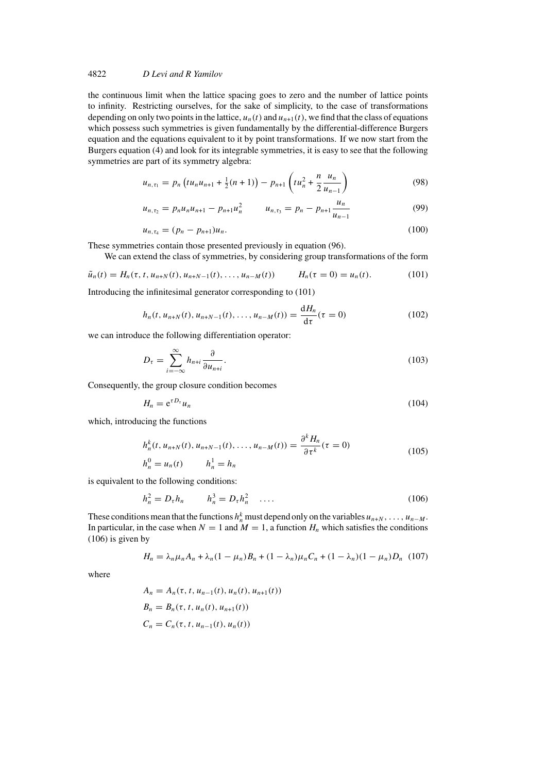the continuous limit when the lattice spacing goes to zero and the number of lattice points to infinity. Restricting ourselves, for the sake of simplicity, to the case of transformations depending on only two points in the lattice,  $u_n(t)$  and  $u_{n+1}(t)$ , we find that the class of equations which possess such symmetries is given fundamentally by the differential-difference Burgers equation and the equations equivalent to it by point transformations. If we now start from the Burgers equation (4) and look for its integrable symmetries, it is easy to see that the following symmetries are part of its symmetry algebra:

$$
u_{n,\tau_1} = p_n \left( t u_n u_{n+1} + \frac{1}{2} (n+1) \right) - p_{n+1} \left( t u_n^2 + \frac{n}{2} \frac{u_n}{u_{n-1}} \right) \tag{98}
$$

$$
u_{n,\tau_2} = p_n u_n u_{n+1} - p_{n+1} u_n^2 \qquad u_{n,\tau_3} = p_n - p_{n+1} \frac{u_n}{u_{n-1}}
$$
(99)

$$
u_{n,\tau_4} = (p_n - p_{n+1})u_n. \tag{100}
$$

These symmetries contain those presented previously in equation (96).

We can extend the class of symmetries, by considering group transformations of the form

$$
\tilde{u}_n(t) = H_n(\tau, t, u_{n+N}(t), u_{n+N-1}(t), \dots, u_{n-M}(t)) \qquad H_n(\tau = 0) = u_n(t). \tag{101}
$$

Introducing the infinitesimal generator corresponding to (101)

$$
h_n(t, u_{n+N}(t), u_{n+N-1}(t), \dots, u_{n-M}(t)) = \frac{dH_n}{d\tau}(\tau = 0)
$$
\n(102)

we can introduce the following differentiation operator:

$$
D_{\tau} = \sum_{i=-\infty}^{\infty} h_{n+i} \frac{\partial}{\partial u_{n+i}}.
$$
\n(103)

Consequently, the group closure condition becomes

$$
H_n = e^{\tau D_\tau} u_n \tag{104}
$$

which, introducing the functions

$$
h_n^k(t, u_{n+N}(t), u_{n+N-1}(t), \dots, u_{n-M}(t)) = \frac{\partial^k H_n}{\partial \tau^k}(\tau = 0)
$$
  
\n
$$
h_n^0 = u_n(t) \qquad h_n^1 = h_n
$$
\n(105)

is equivalent to the following conditions:

$$
h_n^2 = D_{\tau} h_n \qquad h_n^3 = D_{\tau} h_n^2 \quad \dots \tag{106}
$$

These conditions mean that the functions  $h_n^k$  must depend only on the variables  $u_{n+N}, \ldots, u_{n-M}$ . In particular, in the case when  $N = 1$  and  $M = 1$ , a function  $H_n$  which satisfies the conditions (106) is given by

$$
H_n = \lambda_n \mu_n A_n + \lambda_n (1 - \mu_n) B_n + (1 - \lambda_n) \mu_n C_n + (1 - \lambda_n) (1 - \mu_n) D_n \tag{107}
$$

where

$$
A_n = A_n(\tau, t, u_{n-1}(t), u_n(t), u_{n+1}(t))
$$
  
\n
$$
B_n = B_n(\tau, t, u_n(t), u_{n+1}(t))
$$
  
\n
$$
C_n = C_n(\tau, t, u_{n-1}(t), u_n(t))
$$